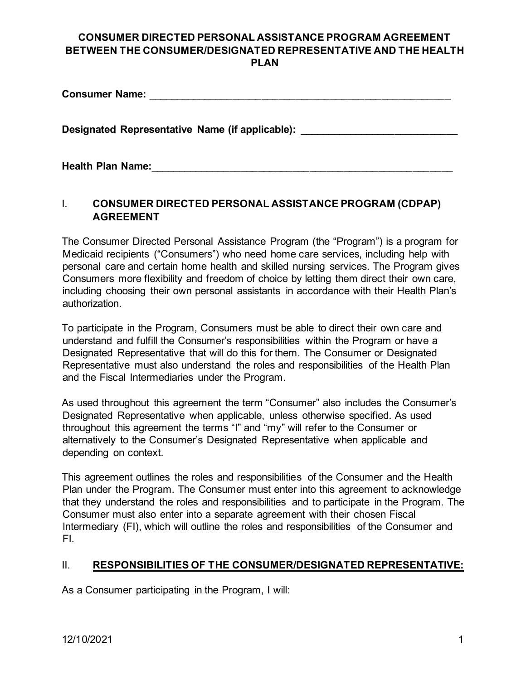| <b>Consumer Name:</b>                           |
|-------------------------------------------------|
| Designated Representative Name (if applicable): |
| <b>Health Plan Name:</b>                        |

# I. **CONSUMER DIRECTED PERSONAL ASSISTANCE PROGRAM (CDPAP) AGREEMENT**

The Consumer Directed Personal Assistance Program (the "Program") is a program for Medicaid recipients ("Consumers") who need home care services, including help with personal care and certain home health and skilled nursing services. The Program gives Consumers more flexibility and freedom of choice by letting them direct their own care, including choosing their own personal assistants in accordance with their Health Plan's authorization.

To participate in the Program, Consumers must be able to direct their own care and understand and fulfill the Consumer's responsibilities within the Program or have a Designated Representative that will do this for them. The Consumer or Designated Representative must also understand the roles and responsibilities of the Health Plan and the Fiscal Intermediaries under the Program.

As used throughout this agreement the term "Consumer" also includes the Consumer's Designated Representative when applicable, unless otherwise specified. As used throughout this agreement the terms "I" and "my" will refer to the Consumer or alternatively to the Consumer's Designated Representative when applicable and depending on context.

This agreement outlines the roles and responsibilities of the Consumer and the Health Plan under the Program. The Consumer must enter into this agreement to acknowledge that they understand the roles and responsibilities and to participate in the Program. The Consumer must also enter into a separate agreement with their chosen Fiscal Intermediary (FI), which will outline the roles and responsibilities of the Consumer and FI.

## II. **RESPONSIBILITIES OF THE CONSUMER/DESIGNATED REPRESENTATIVE:**

As a Consumer participating in the Program, I will: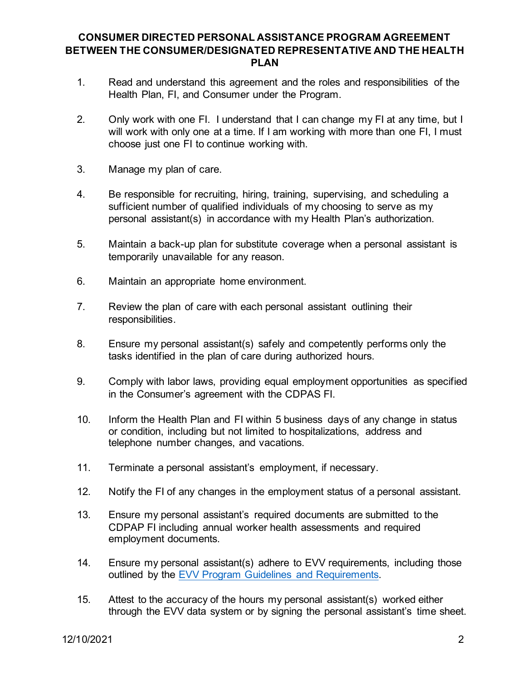- 1. Read and understand this agreement and the roles and responsibilities of the Health Plan, FI, and Consumer under the Program.
- 2. Only work with one FI. I understand that I can change my FI at any time, but I will work with only one at a time. If I am working with more than one FI, I must choose just one FI to continue working with.
- 3. Manage my plan of care.
- 4. Be responsible for recruiting, hiring, training, supervising, and scheduling a sufficient number of qualified individuals of my choosing to serve as my personal assistant(s) in accordance with my Health Plan's authorization.
- 5. Maintain a back-up plan for substitute coverage when a personal assistant is temporarily unavailable for any reason.
- 6. Maintain an appropriate home environment.
- 7. Review the plan of care with each personal assistant outlining their responsibilities.
- 8. Ensure my personal assistant(s) safely and competently performs only the tasks identified in the plan of care during authorized hours.
- 9. Comply with labor laws, providing equal employment opportunities as specified in the Consumer's agreement with the CDPAS FI.
- 10. Inform the Health Plan and FI within 5 business days of any change in status or condition, including but not limited to hospitalizations, address and telephone number changes, and vacations.
- 11. Terminate a personal assistant's employment, if necessary.
- 12. Notify the FI of any changes in the employment status of a personal assistant.
- 13. Ensure my personal assistant's required documents are submitted to the CDPAP FI including annual worker health assessments and required employment documents.
- 14. Ensure my personal assistant(s) adhere to EVV requirements, including those outlined by the [EVV Program Guidelines and Requirements.](https://www.health.ny.gov/health_care/medicaid/redesign/evv/repository/docs/evv_prog_guidelines.pdf)
- 15. Attest to the accuracy of the hours my personal assistant(s) worked either through the EVV data system or by signing the personal assistant's time sheet.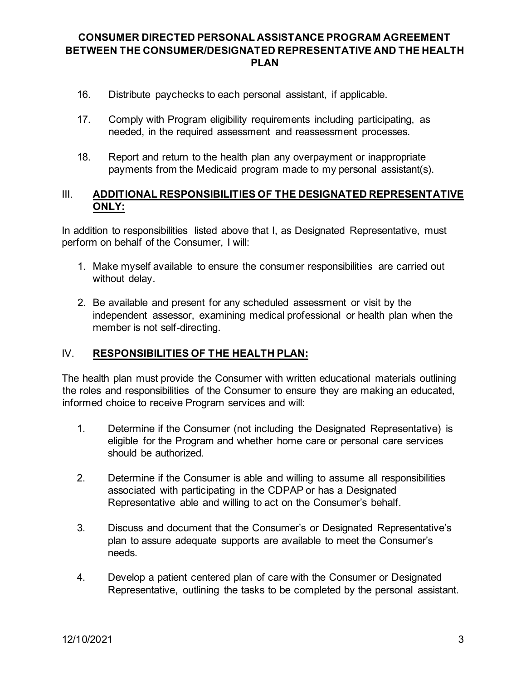- 16. Distribute paychecks to each personal assistant, if applicable.
- 17. Comply with Program eligibility requirements including participating, as needed, in the required assessment and reassessment processes.
- 18. Report and return to the health plan any overpayment or inappropriate payments from the Medicaid program made to my personal assistant(s).

#### III. **ADDITIONAL RESPONSIBILITIES OF THE DESIGNATED REPRESENTATIVE ONLY:**

In addition to responsibilities listed above that I, as Designated Representative, must perform on behalf of the Consumer, I will:

- 1. Make myself available to ensure the consumer responsibilities are carried out without delay.
- 2. Be available and present for any scheduled assessment or visit by the independent assessor, examining medical professional or health plan when the member is not self-directing.

#### IV. **RESPONSIBILITIES OF THE HEALTH PLAN:**

The health plan must provide the Consumer with written educational materials outlining the roles and responsibilities of the Consumer to ensure they are making an educated, informed choice to receive Program services and will:

- 1. Determine if the Consumer (not including the Designated Representative) is eligible for the Program and whether home care or personal care services should be authorized.
- 2. Determine if the Consumer is able and willing to assume all responsibilities associated with participating in the CDPAP or has a Designated Representative able and willing to act on the Consumer's behalf.
- 3. Discuss and document that the Consumer's or Designated Representative's plan to assure adequate supports are available to meet the Consumer's needs.
- 4. Develop a patient centered plan of care with the Consumer or Designated Representative, outlining the tasks to be completed by the personal assistant.